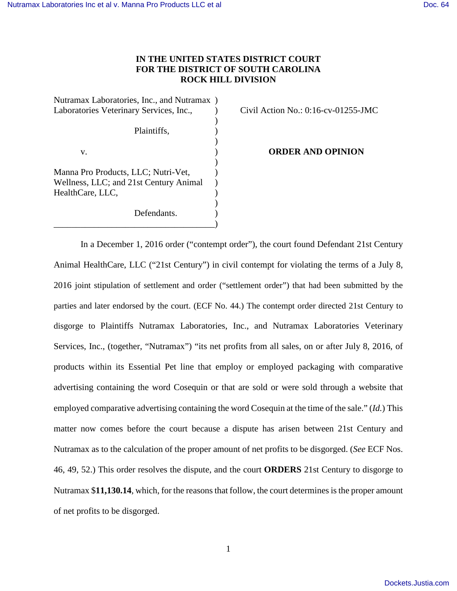# **IN THE UNITED STATES DISTRICT COURT FOR THE DISTRICT OF SOUTH CAROLINA ROCK HILL DIVISION**

Nutramax Laboratories, Inc., and Nutramax ) Laboratories Veterinary Services, Inc.,  $\qquad \qquad$  Civil Action No.: 0:16-cv-01255-JMC

 $)$ Plaintiffs.  $)$  $)$ Manna Pro Products, LLC; Nutri-Vet, ) Wellness, LLC; and 21st Century Animal ) HealthCare, LLC, )

Defendants.

 $)$ 

\_\_\_\_\_\_\_\_\_\_\_\_\_\_\_\_\_\_\_\_\_\_\_\_\_\_\_\_\_\_\_\_\_\_\_\_)

v. ) **ORDER AND OPINION**

In a December 1, 2016 order ("contempt order"), the court found Defendant 21st Century Animal HealthCare, LLC ("21st Century") in civil contempt for violating the terms of a July 8, 2016 joint stipulation of settlement and order ("settlement order") that had been submitted by the parties and later endorsed by the court. (ECF No. 44.) The contempt order directed 21st Century to disgorge to Plaintiffs Nutramax Laboratories, Inc., and Nutramax Laboratories Veterinary Services, Inc., (together, "Nutramax") "its net profits from all sales, on or after July 8, 2016, of products within its Essential Pet line that employ or employed packaging with comparative advertising containing the word Cosequin or that are sold or were sold through a website that employed comparative advertising containing the word Cosequin at the time of the sale." (*Id.*) This matter now comes before the court because a dispute has arisen between 21st Century and Nutramax as to the calculation of the proper amount of net profits to be disgorged. (*See* ECF Nos. 46, 49, 52.) This order resolves the dispute, and the court **ORDERS** 21st Century to disgorge to Nutramax \$**11,130.14**, which, for the reasons that follow, the court determines is the proper amount of net profits to be disgorged.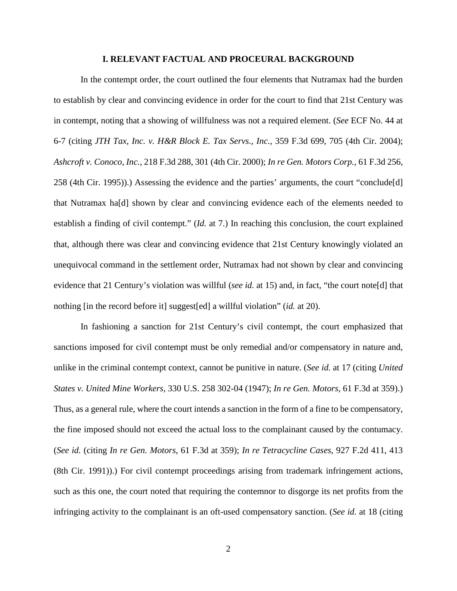#### **I. RELEVANT FACTUAL AND PROCEURAL BACKGROUND**

In the contempt order, the court outlined the four elements that Nutramax had the burden to establish by clear and convincing evidence in order for the court to find that 21st Century was in contempt, noting that a showing of willfulness was not a required element. (*See* ECF No. 44 at 6-7 (citing *JTH Tax, Inc. v. H&R Block E. Tax Servs., Inc.*, 359 F.3d 699, 705 (4th Cir. 2004); *Ashcroft v. Conoco, Inc.*, 218 F.3d 288, 301 (4th Cir. 2000); *In re Gen. Motors Corp.*, 61 F.3d 256, 258 (4th Cir. 1995)).) Assessing the evidence and the parties' arguments, the court "conclude[d] that Nutramax ha[d] shown by clear and convincing evidence each of the elements needed to establish a finding of civil contempt." (*Id.* at 7.) In reaching this conclusion, the court explained that, although there was clear and convincing evidence that 21st Century knowingly violated an unequivocal command in the settlement order, Nutramax had not shown by clear and convincing evidence that 21 Century's violation was willful (*see id.* at 15) and, in fact, "the court note[d] that nothing [in the record before it] suggest[ed] a willful violation" (*id.* at 20).

In fashioning a sanction for 21st Century's civil contempt, the court emphasized that sanctions imposed for civil contempt must be only remedial and/or compensatory in nature and, unlike in the criminal contempt context, cannot be punitive in nature. (*See id.* at 17 (citing *United States v. United Mine Workers*, 330 U.S. 258 302-04 (1947); *In re Gen. Motors*, 61 F.3d at 359).) Thus, as a general rule, where the court intends a sanction in the form of a fine to be compensatory, the fine imposed should not exceed the actual loss to the complainant caused by the contumacy. (*See id.* (citing *In re Gen. Motors*, 61 F.3d at 359); *In re Tetracycline Cases*, 927 F.2d 411, 413 (8th Cir. 1991)).) For civil contempt proceedings arising from trademark infringement actions, such as this one, the court noted that requiring the contemnor to disgorge its net profits from the infringing activity to the complainant is an oft-used compensatory sanction. (*See id.* at 18 (citing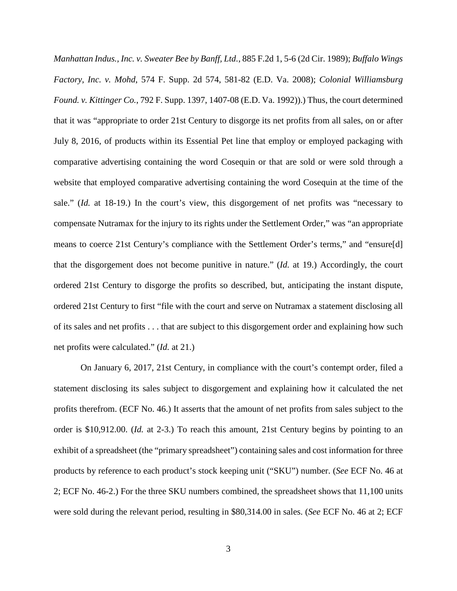*Manhattan Indus., Inc. v. Sweater Bee by Banff, Ltd.*, 885 F.2d 1, 5-6 (2d Cir. 1989); *Buffalo Wings Factory, Inc. v. Mohd*, 574 F. Supp. 2d 574, 581-82 (E.D. Va. 2008); *Colonial Williamsburg Found. v. Kittinger Co.*, 792 F. Supp. 1397, 1407-08 (E.D. Va. 1992)).) Thus, the court determined that it was "appropriate to order 21st Century to disgorge its net profits from all sales, on or after July 8, 2016, of products within its Essential Pet line that employ or employed packaging with comparative advertising containing the word Cosequin or that are sold or were sold through a website that employed comparative advertising containing the word Cosequin at the time of the sale." (*Id.* at 18-19.) In the court's view, this disgorgement of net profits was "necessary to compensate Nutramax for the injury to its rights under the Settlement Order," was "an appropriate means to coerce 21st Century's compliance with the Settlement Order's terms," and "ensure[d] that the disgorgement does not become punitive in nature." (*Id.* at 19.) Accordingly, the court ordered 21st Century to disgorge the profits so described, but, anticipating the instant dispute, ordered 21st Century to first "file with the court and serve on Nutramax a statement disclosing all of its sales and net profits . . . that are subject to this disgorgement order and explaining how such net profits were calculated." (*Id.* at 21.)

On January 6, 2017, 21st Century, in compliance with the court's contempt order, filed a statement disclosing its sales subject to disgorgement and explaining how it calculated the net profits therefrom. (ECF No. 46.) It asserts that the amount of net profits from sales subject to the order is \$10,912.00. (*Id.* at 2-3.) To reach this amount, 21st Century begins by pointing to an exhibit of a spreadsheet (the "primary spreadsheet") containing sales and cost information for three products by reference to each product's stock keeping unit ("SKU") number. (*See* ECF No. 46 at 2; ECF No. 46-2.) For the three SKU numbers combined, the spreadsheet shows that 11,100 units were sold during the relevant period, resulting in \$80,314.00 in sales. (*See* ECF No. 46 at 2; ECF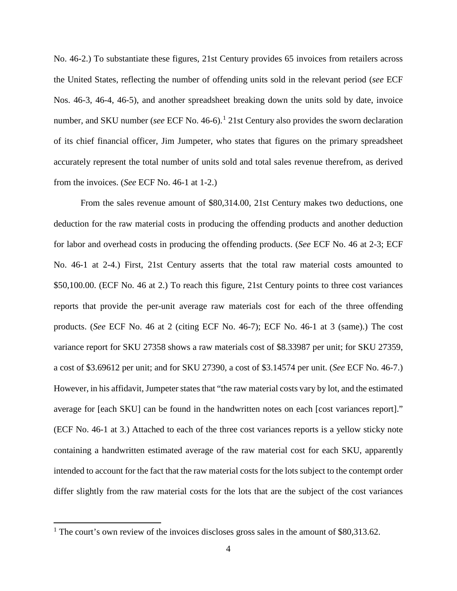No. 46-2.) To substantiate these figures, 21st Century provides 65 invoices from retailers across the United States, reflecting the number of offending units sold in the relevant period (*see* ECF Nos. 46-3, 46-4, 46-5), and another spreadsheet breaking down the units sold by date, invoice number, and SKU number (*see* ECF No. 46-6).<sup>[1](#page-3-0)</sup> 21st Century also provides the sworn declaration of its chief financial officer, Jim Jumpeter, who states that figures on the primary spreadsheet accurately represent the total number of units sold and total sales revenue therefrom, as derived from the invoices. (*See* ECF No. 46-1 at 1-2.)

From the sales revenue amount of \$80,314.00, 21st Century makes two deductions, one deduction for the raw material costs in producing the offending products and another deduction for labor and overhead costs in producing the offending products. (*See* ECF No. 46 at 2-3; ECF No. 46-1 at 2-4.) First, 21st Century asserts that the total raw material costs amounted to \$50,100.00. (ECF No. 46 at 2.) To reach this figure, 21st Century points to three cost variances reports that provide the per-unit average raw materials cost for each of the three offending products. (*See* ECF No. 46 at 2 (citing ECF No. 46-7); ECF No. 46-1 at 3 (same).) The cost variance report for SKU 27358 shows a raw materials cost of \$8.33987 per unit; for SKU 27359, a cost of \$3.69612 per unit; and for SKU 27390, a cost of \$3.14574 per unit. (*See* ECF No. 46-7.) However, in his affidavit, Jumpeter states that "the raw material costs vary by lot, and the estimated average for [each SKU] can be found in the handwritten notes on each [cost variances report]." (ECF No. 46-1 at 3.) Attached to each of the three cost variances reports is a yellow sticky note containing a handwritten estimated average of the raw material cost for each SKU, apparently intended to account for the fact that the raw material costs for the lots subject to the contempt order differ slightly from the raw material costs for the lots that are the subject of the cost variances

<span id="page-3-0"></span><sup>&</sup>lt;sup>1</sup> The court's own review of the invoices discloses gross sales in the amount of \$80,313.62.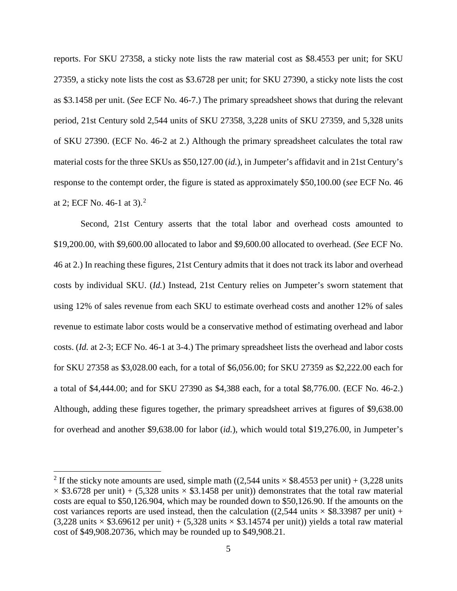reports. For SKU 27358, a sticky note lists the raw material cost as \$8.4553 per unit; for SKU 27359, a sticky note lists the cost as \$3.6728 per unit; for SKU 27390, a sticky note lists the cost as \$3.1458 per unit. (*See* ECF No. 46-7.) The primary spreadsheet shows that during the relevant period, 21st Century sold 2,544 units of SKU 27358, 3,228 units of SKU 27359, and 5,328 units of SKU 27390. (ECF No. 46-2 at 2.) Although the primary spreadsheet calculates the total raw material costs for the three SKUs as \$50,127.00 (*id.*), in Jumpeter's affidavit and in 21st Century's response to the contempt order, the figure is stated as approximately \$50,100.00 (*see* ECF No. 46 at [2](#page-4-0); ECF No. 46-1 at  $3$ ).<sup>2</sup>

Second, 21st Century asserts that the total labor and overhead costs amounted to \$19,200.00, with \$9,600.00 allocated to labor and \$9,600.00 allocated to overhead. (*See* ECF No. 46 at 2.) In reaching these figures, 21st Century admits that it does not track its labor and overhead costs by individual SKU. (*Id.*) Instead, 21st Century relies on Jumpeter's sworn statement that using 12% of sales revenue from each SKU to estimate overhead costs and another 12% of sales revenue to estimate labor costs would be a conservative method of estimating overhead and labor costs. (*Id.* at 2-3; ECF No. 46-1 at 3-4.) The primary spreadsheet lists the overhead and labor costs for SKU 27358 as \$3,028.00 each, for a total of \$6,056.00; for SKU 27359 as \$2,222.00 each for a total of \$4,444.00; and for SKU 27390 as \$4,388 each, for a total \$8,776.00. (ECF No. 46-2.) Although, adding these figures together, the primary spreadsheet arrives at figures of \$9,638.00 for overhead and another \$9,638.00 for labor (*id.*), which would total \$19,276.00, in Jumpeter's

<span id="page-4-0"></span><sup>&</sup>lt;sup>2</sup> If the sticky note amounts are used, simple math ((2,544 units  $\times$  \$8.4553 per unit) + (3,228 units  $\times$  \$3.6728 per unit) + (5,328 units  $\times$  \$3.1458 per unit)) demonstrates that the total raw material costs are equal to \$50,126.904, which may be rounded down to \$50,126.90. If the amounts on the cost variances reports are used instead, then the calculation ( $(2,544 \text{ units} \times $8.33987 \text{ per unit})$  +  $(3,228 \text{ units} \times $3.69612 \text{ per unit}) + (5,328 \text{ units} \times $3.14574 \text{ per unit})$  yields a total raw material cost of \$49,908.20736, which may be rounded up to \$49,908.21.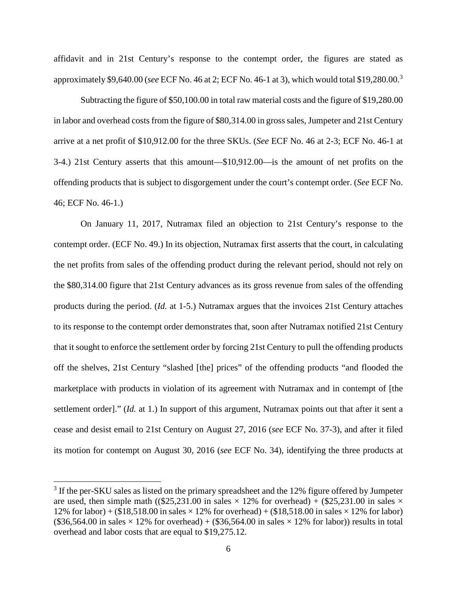affidavit and in 21st Century's response to the contempt order, the figures are stated as approximately \$9,640.00 (*see* ECF No. 46 at 2; ECF No. 46-1 at 3), which would total \$19,280.00.[3](#page-5-0)

 Subtracting the figure of \$50,100.00 in total raw material costs and the figure of \$19,280.00 in labor and overhead costs from the figure of \$80,314.00 in gross sales, Jumpeter and 21st Century arrive at a net profit of \$10,912.00 for the three SKUs. (*See* ECF No. 46 at 2-3; ECF No. 46-1 at 3-4.) 21st Century asserts that this amount—\$10,912.00—is the amount of net profits on the offending products that is subject to disgorgement under the court's contempt order. (*See* ECF No. 46; ECF No. 46-1.)

 On January 11, 2017, Nutramax filed an objection to 21st Century's response to the contempt order. (ECF No. 49.) In its objection, Nutramax first asserts that the court, in calculating the net profits from sales of the offending product during the relevant period, should not rely on the \$80,314.00 figure that 21st Century advances as its gross revenue from sales of the offending products during the period. (*Id.* at 1-5.) Nutramax argues that the invoices 21st Century attaches to its response to the contempt order demonstrates that, soon after Nutramax notified 21st Century that it sought to enforce the settlement order by forcing 21st Century to pull the offending products off the shelves, 21st Century "slashed [the] prices" of the offending products "and flooded the marketplace with products in violation of its agreement with Nutramax and in contempt of [the settlement order]." (*Id.* at 1.) In support of this argument, Nutramax points out that after it sent a cease and desist email to 21st Century on August 27, 2016 (*see* ECF No. 37-3), and after it filed its motion for contempt on August 30, 2016 (*see* ECF No. 34), identifying the three products at

 $\overline{a}$ 

<span id="page-5-0"></span> $3$  If the per-SKU sales as listed on the primary spreadsheet and the 12% figure offered by Jumpeter are used, then simple math ( $(\$25,231.00$  in sales  $\times$  12% for overhead) +  $(\$25,231.00$  in sales  $\times$ 12% for labor) + (\$18,518.00 in sales  $\times$  12% for overhead) + (\$18,518.00 in sales  $\times$  12% for labor)  $(\$36,564.00$  in sales  $\times$  12% for overhead) +  $(\$36,564.00$  in sales  $\times$  12% for labor)) results in total overhead and labor costs that are equal to \$19,275.12.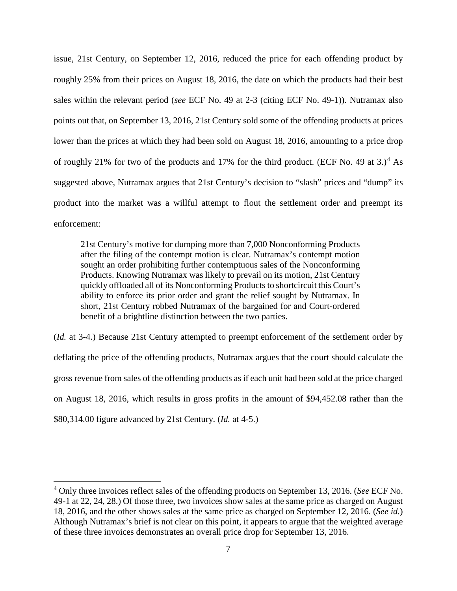issue, 21st Century, on September 12, 2016, reduced the price for each offending product by roughly 25% from their prices on August 18, 2016, the date on which the products had their best sales within the relevant period (*see* ECF No. 49 at 2-3 (citing ECF No. 49-1)). Nutramax also points out that, on September 13, 2016, 21st Century sold some of the offending products at prices lower than the prices at which they had been sold on August 18, 2016, amounting to a price drop of roughly 21% for two of the products and 17% for the third product. (ECF No. [4](#page-6-0)9 at  $3.1<sup>4</sup>$  As suggested above, Nutramax argues that 21st Century's decision to "slash" prices and "dump" its product into the market was a willful attempt to flout the settlement order and preempt its enforcement:

21st Century's motive for dumping more than 7,000 Nonconforming Products after the filing of the contempt motion is clear. Nutramax's contempt motion sought an order prohibiting further contemptuous sales of the Nonconforming Products. Knowing Nutramax was likely to prevail on its motion, 21st Century quickly offloaded all of its Nonconforming Products to shortcircuit this Court's ability to enforce its prior order and grant the relief sought by Nutramax. In short, 21st Century robbed Nutramax of the bargained for and Court-ordered benefit of a brightline distinction between the two parties.

(*Id.* at 3-4.) Because 21st Century attempted to preempt enforcement of the settlement order by deflating the price of the offending products, Nutramax argues that the court should calculate the gross revenue from sales of the offending products as if each unit had been sold at the price charged on August 18, 2016, which results in gross profits in the amount of \$94,452.08 rather than the \$80,314.00 figure advanced by 21st Century. (*Id.* at 4-5.)

<span id="page-6-0"></span><sup>4</sup> Only three invoices reflect sales of the offending products on September 13, 2016. (*See* ECF No. 49-1 at 22, 24, 28.) Of those three, two invoices show sales at the same price as charged on August 18, 2016, and the other shows sales at the same price as charged on September 12, 2016. (*See id.*) Although Nutramax's brief is not clear on this point, it appears to argue that the weighted average of these three invoices demonstrates an overall price drop for September 13, 2016.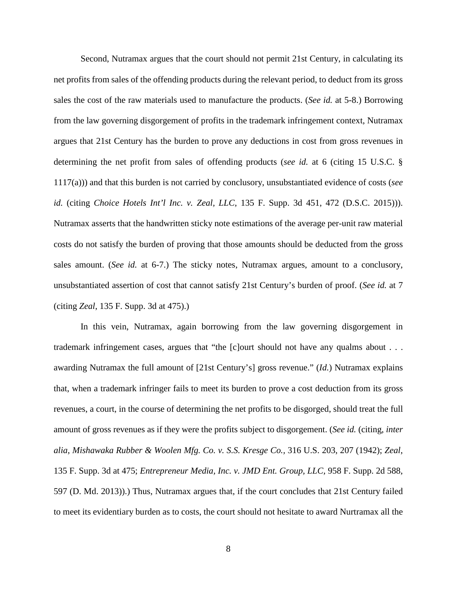Second, Nutramax argues that the court should not permit 21st Century, in calculating its net profits from sales of the offending products during the relevant period, to deduct from its gross sales the cost of the raw materials used to manufacture the products. (*See id.* at 5-8.) Borrowing from the law governing disgorgement of profits in the trademark infringement context, Nutramax argues that 21st Century has the burden to prove any deductions in cost from gross revenues in determining the net profit from sales of offending products (*see id.* at 6 (citing 15 U.S.C. § 1117(a))) and that this burden is not carried by conclusory, unsubstantiated evidence of costs (*see id.* (citing *Choice Hotels Int'l Inc. v. Zeal, LLC*, 135 F. Supp. 3d 451, 472 (D.S.C. 2015))). Nutramax asserts that the handwritten sticky note estimations of the average per-unit raw material costs do not satisfy the burden of proving that those amounts should be deducted from the gross sales amount. (*See id.* at 6-7.) The sticky notes, Nutramax argues, amount to a conclusory, unsubstantiated assertion of cost that cannot satisfy 21st Century's burden of proof. (*See id.* at 7 (citing *Zeal*, 135 F. Supp. 3d at 475).)

In this vein, Nutramax, again borrowing from the law governing disgorgement in trademark infringement cases, argues that "the [c]ourt should not have any qualms about . . . awarding Nutramax the full amount of [21st Century's] gross revenue." (*Id.*) Nutramax explains that, when a trademark infringer fails to meet its burden to prove a cost deduction from its gross revenues, a court, in the course of determining the net profits to be disgorged, should treat the full amount of gross revenues as if they were the profits subject to disgorgement. (*See id.* (citing, *inter alia*, *Mishawaka Rubber & Woolen Mfg. Co. v. S.S. Kresge Co.,* 316 U.S. 203, 207 (1942); *Zeal*, 135 F. Supp. 3d at 475; *Entrepreneur Media, Inc. v. JMD Ent. Group, LLC,* 958 F. Supp. 2d 588, 597 (D. Md. 2013)).) Thus, Nutramax argues that, if the court concludes that 21st Century failed to meet its evidentiary burden as to costs, the court should not hesitate to award Nurtramax all the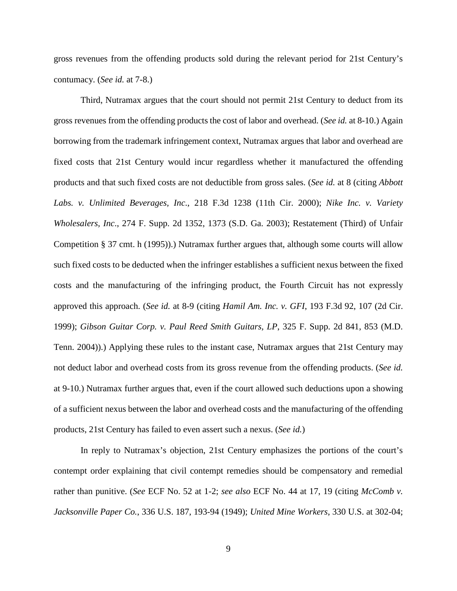gross revenues from the offending products sold during the relevant period for 21st Century's contumacy. (*See id.* at 7-8.)

Third, Nutramax argues that the court should not permit 21st Century to deduct from its gross revenues from the offending products the cost of labor and overhead. (*See id.* at 8-10.) Again borrowing from the trademark infringement context, Nutramax argues that labor and overhead are fixed costs that 21st Century would incur regardless whether it manufactured the offending products and that such fixed costs are not deductible from gross sales. (*See id.* at 8 (citing *Abbott Labs. v. Unlimited Beverages, Inc*., 218 F.3d 1238 (11th Cir. 2000); *Nike Inc. v. Variety Wholesalers, Inc*., 274 F. Supp. 2d 1352, 1373 (S.D. Ga. 2003); Restatement (Third) of Unfair Competition § 37 cmt. h (1995)).) Nutramax further argues that, although some courts will allow such fixed costs to be deducted when the infringer establishes a sufficient nexus between the fixed costs and the manufacturing of the infringing product, the Fourth Circuit has not expressly approved this approach. (*See id.* at 8-9 (citing *Hamil Am. Inc. v. GFI*, 193 F.3d 92, 107 (2d Cir. 1999); *Gibson Guitar Corp. v. Paul Reed Smith Guitars, LP*, 325 F. Supp. 2d 841, 853 (M.D. Tenn. 2004)).) Applying these rules to the instant case, Nutramax argues that 21st Century may not deduct labor and overhead costs from its gross revenue from the offending products. (*See id.* at 9-10.) Nutramax further argues that, even if the court allowed such deductions upon a showing of a sufficient nexus between the labor and overhead costs and the manufacturing of the offending products, 21st Century has failed to even assert such a nexus. (*See id.*)

In reply to Nutramax's objection, 21st Century emphasizes the portions of the court's contempt order explaining that civil contempt remedies should be compensatory and remedial rather than punitive. (*See* ECF No. 52 at 1-2; *see also* ECF No. 44 at 17, 19 (citing *McComb v. Jacksonville Paper Co.*, 336 U.S. 187, 193-94 (1949); *United Mine Workers*, 330 U.S. at 302-04;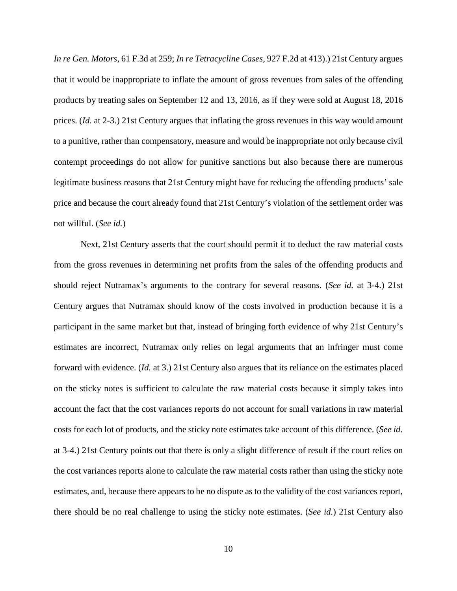*In re Gen. Motors*, 61 F.3d at 259; *In re Tetracycline Cases*, 927 F.2d at 413).) 21st Century argues that it would be inappropriate to inflate the amount of gross revenues from sales of the offending products by treating sales on September 12 and 13, 2016, as if they were sold at August 18, 2016 prices. (*Id.* at 2-3.) 21st Century argues that inflating the gross revenues in this way would amount to a punitive, rather than compensatory, measure and would be inappropriate not only because civil contempt proceedings do not allow for punitive sanctions but also because there are numerous legitimate business reasons that 21st Century might have for reducing the offending products' sale price and because the court already found that 21st Century's violation of the settlement order was not willful. (*See id.*)

Next, 21st Century asserts that the court should permit it to deduct the raw material costs from the gross revenues in determining net profits from the sales of the offending products and should reject Nutramax's arguments to the contrary for several reasons. (*See id.* at 3-4.) 21st Century argues that Nutramax should know of the costs involved in production because it is a participant in the same market but that, instead of bringing forth evidence of why 21st Century's estimates are incorrect, Nutramax only relies on legal arguments that an infringer must come forward with evidence. (*Id.* at 3.) 21st Century also argues that its reliance on the estimates placed on the sticky notes is sufficient to calculate the raw material costs because it simply takes into account the fact that the cost variances reports do not account for small variations in raw material costs for each lot of products, and the sticky note estimates take account of this difference. (*See id.* at 3-4.) 21st Century points out that there is only a slight difference of result if the court relies on the cost variances reports alone to calculate the raw material costs rather than using the sticky note estimates, and, because there appears to be no dispute as to the validity of the cost variances report, there should be no real challenge to using the sticky note estimates. (*See id.*) 21st Century also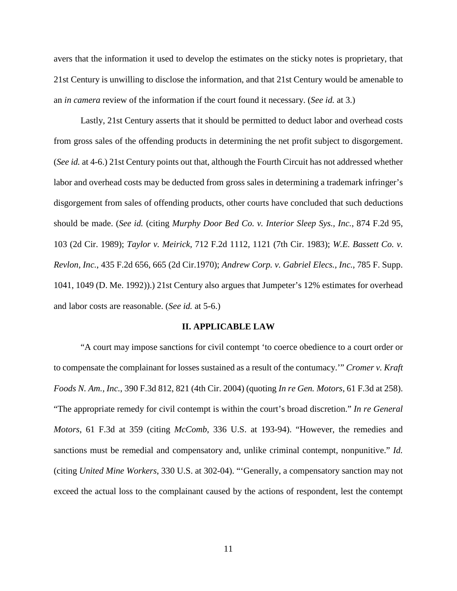avers that the information it used to develop the estimates on the sticky notes is proprietary, that 21st Century is unwilling to disclose the information, and that 21st Century would be amenable to an *in camera* review of the information if the court found it necessary. (*See id.* at 3.)

Lastly, 21st Century asserts that it should be permitted to deduct labor and overhead costs from gross sales of the offending products in determining the net profit subject to disgorgement. (*See id.* at 4-6.) 21st Century points out that, although the Fourth Circuit has not addressed whether labor and overhead costs may be deducted from gross sales in determining a trademark infringer's disgorgement from sales of offending products, other courts have concluded that such deductions should be made. (*See id.* (citing *Murphy Door Bed Co. v. Interior Sleep Sys., Inc.*, 874 F.2d 95, 103 (2d Cir. 1989); *Taylor v. Meirick*, 712 F.2d 1112, 1121 (7th Cir. 1983); *W.E. Bassett Co. v. Revlon, Inc.*, 435 F.2d 656, 665 (2d Cir.1970); *Andrew Corp. v. Gabriel Elecs., Inc.*, 785 F. Supp. 1041, 1049 (D. Me. 1992)).) 21st Century also argues that Jumpeter's 12% estimates for overhead and labor costs are reasonable. (*See id.* at 5-6.)

#### **II. APPLICABLE LAW**

"A court may impose sanctions for civil contempt 'to coerce obedience to a court order or to compensate the complainant for losses sustained as a result of the contumacy.'" *Cromer v. Kraft Foods N. Am., Inc.*, 390 F.3d 812, 821 (4th Cir. 2004) (quoting *In re Gen. Motors*, 61 F.3d at 258). "The appropriate remedy for civil contempt is within the court's broad discretion." *In re General Motors*, 61 F.3d at 359 (citing *McComb*, 336 U.S. at 193-94). "However, the remedies and sanctions must be remedial and compensatory and, unlike criminal contempt, nonpunitive." *Id.*  (citing *United Mine Workers*, 330 U.S. at 302-04). "'Generally, a compensatory sanction may not exceed the actual loss to the complainant caused by the actions of respondent, lest the contempt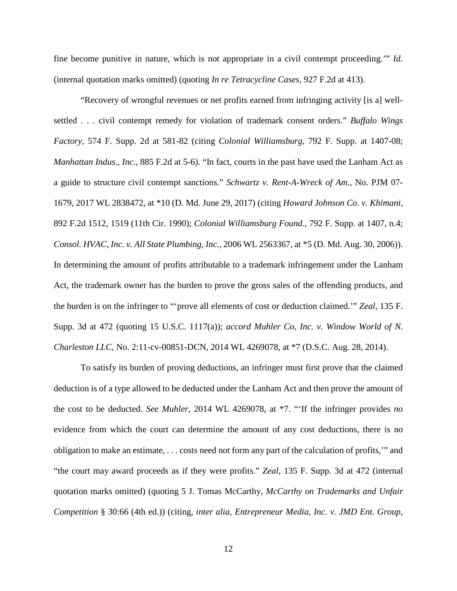fine become punitive in nature, which is not appropriate in a civil contempt proceeding.'" *Id.*  (internal quotation marks omitted) (quoting *In re Tetracycline Cases*, 927 F.2d at 413).

"Recovery of wrongful revenues or net profits earned from infringing activity [is a] wellsettled . . . civil contempt remedy for violation of trademark consent orders." *Buffalo Wings Factory*, 574 F. Supp. 2d at 581-82 (citing *Colonial Williamsburg*, 792 F. Supp. at 1407-08; *Manhattan Indus., Inc.*, 885 F.2d at 5-6). "In fact, courts in the past have used the Lanham Act as a guide to structure civil contempt sanctions." *Schwartz v. Rent-A-Wreck of Am.*, No. PJM 07- 1679, 2017 WL 2838472, at \*10 (D. Md. June 29, 2017) (citing *Howard Johnson Co. v. Khimani*, 892 F.2d 1512, 1519 (11th Cir. 1990); *Colonial Williamsburg Found.*, 792 F. Supp. at 1407, n.4; *Consol. HVAC, Inc. v. All State Plumbing, Inc.*, 2006 WL 2563367, at \*5 (D. Md. Aug. 30, 2006)). In determining the amount of profits attributable to a trademark infringement under the Lanham Act, the trademark owner has the burden to prove the gross sales of the offending products, and the burden is on the infringer to "'prove all elements of cost or deduction claimed.'" *Zeal*, 135 F. Supp. 3d at 472 (quoting 15 U.S.C. 1117(a)); *accord Muhler Co, Inc. v. Window World of N. Charleston LLC*, No. 2:11-cv-00851-DCN, 2014 WL 4269078, at \*7 (D.S.C. Aug. 28, 2014).

To satisfy its burden of proving deductions, an infringer must first prove that the claimed deduction is of a type allowed to be deducted under the Lanham Act and then prove the amount of the cost to be deducted. *See Muhler*, 2014 WL 4269078, at \*7. "'If the infringer provides *no* evidence from which the court can determine the amount of any cost deductions, there is no obligation to make an estimate, . . . costs need not form any part of the calculation of profits,'" and "the court may award proceeds as if they were profits." *Zeal*, 135 F. Supp. 3d at 472 (internal quotation marks omitted) (quoting 5 J. Tomas McCarthy, *McCarthy on Trademarks and Unfair Competition* § 30:66 (4th ed.)) (citing, *inter alia*, *Entrepreneur Media, Inc. v. JMD Ent. Group,*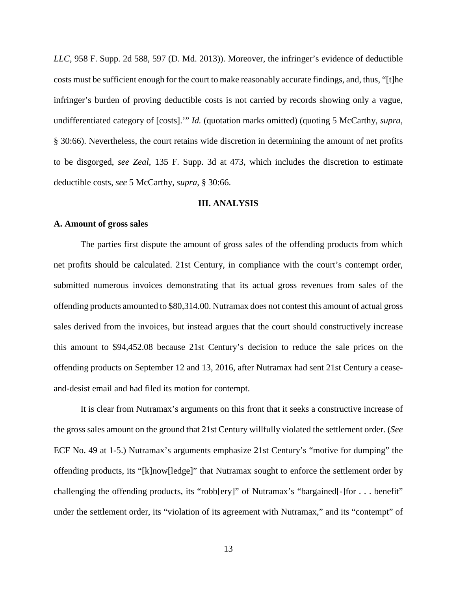*LLC*, 958 F. Supp. 2d 588, 597 (D. Md. 2013)). Moreover, the infringer's evidence of deductible costs must be sufficient enough for the court to make reasonably accurate findings, and, thus, "[t]he infringer's burden of proving deductible costs is not carried by records showing only a vague, undifferentiated category of [costs].'" *Id.* (quotation marks omitted) (quoting 5 McCarthy, *supra*, § 30:66). Nevertheless, the court retains wide discretion in determining the amount of net profits to be disgorged, *see Zeal*, 135 F. Supp. 3d at 473, which includes the discretion to estimate deductible costs, *see* 5 McCarthy, *supra*, § 30:66.

### **III. ANALYSIS**

#### **A. Amount of gross sales**

The parties first dispute the amount of gross sales of the offending products from which net profits should be calculated. 21st Century, in compliance with the court's contempt order, submitted numerous invoices demonstrating that its actual gross revenues from sales of the offending products amounted to \$80,314.00. Nutramax does not contest this amount of actual gross sales derived from the invoices, but instead argues that the court should constructively increase this amount to \$94,452.08 because 21st Century's decision to reduce the sale prices on the offending products on September 12 and 13, 2016, after Nutramax had sent 21st Century a ceaseand-desist email and had filed its motion for contempt.

It is clear from Nutramax's arguments on this front that it seeks a constructive increase of the gross sales amount on the ground that 21st Century willfully violated the settlement order. (*See* ECF No. 49 at 1-5.) Nutramax's arguments emphasize 21st Century's "motive for dumping" the offending products, its "[k]now[ledge]" that Nutramax sought to enforce the settlement order by challenging the offending products, its "robb[ery]" of Nutramax's "bargained[-]for . . . benefit" under the settlement order, its "violation of its agreement with Nutramax," and its "contempt" of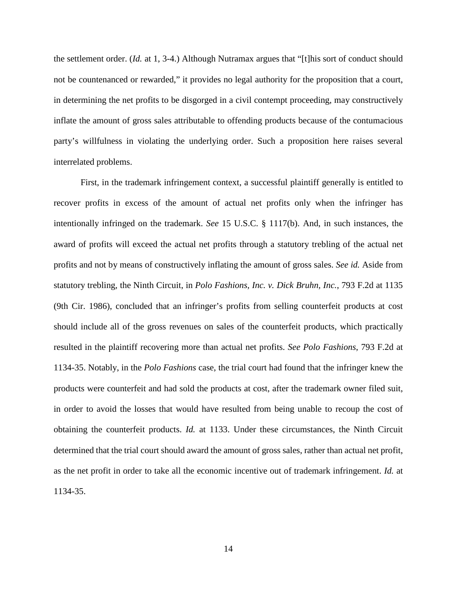the settlement order. (*Id.* at 1, 3-4.) Although Nutramax argues that "[t]his sort of conduct should not be countenanced or rewarded," it provides no legal authority for the proposition that a court, in determining the net profits to be disgorged in a civil contempt proceeding, may constructively inflate the amount of gross sales attributable to offending products because of the contumacious party's willfulness in violating the underlying order. Such a proposition here raises several interrelated problems.

First, in the trademark infringement context, a successful plaintiff generally is entitled to recover profits in excess of the amount of actual net profits only when the infringer has intentionally infringed on the trademark. *See* 15 U.S.C. § 1117(b). And, in such instances, the award of profits will exceed the actual net profits through a statutory trebling of the actual net profits and not by means of constructively inflating the amount of gross sales. *See id.* Aside from statutory trebling, the Ninth Circuit, in *Polo Fashions, Inc. v. Dick Bruhn, Inc.*, 793 F.2d at 1135 (9th Cir. 1986), concluded that an infringer's profits from selling counterfeit products at cost should include all of the gross revenues on sales of the counterfeit products, which practically resulted in the plaintiff recovering more than actual net profits. *See Polo Fashions*, 793 F.2d at 1134-35. Notably, in the *Polo Fashions* case, the trial court had found that the infringer knew the products were counterfeit and had sold the products at cost, after the trademark owner filed suit, in order to avoid the losses that would have resulted from being unable to recoup the cost of obtaining the counterfeit products. *Id.* at 1133. Under these circumstances, the Ninth Circuit determined that the trial court should award the amount of gross sales, rather than actual net profit, as the net profit in order to take all the economic incentive out of trademark infringement. *Id.* at 1134-35.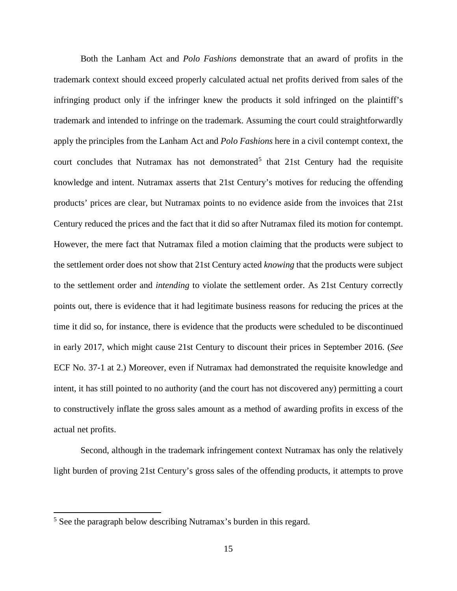Both the Lanham Act and *Polo Fashions* demonstrate that an award of profits in the trademark context should exceed properly calculated actual net profits derived from sales of the infringing product only if the infringer knew the products it sold infringed on the plaintiff's trademark and intended to infringe on the trademark. Assuming the court could straightforwardly apply the principles from the Lanham Act and *Polo Fashions* here in a civil contempt context, the court concludes that Nutramax has not demonstrated<sup>[5](#page-14-0)</sup> that 21st Century had the requisite knowledge and intent. Nutramax asserts that 21st Century's motives for reducing the offending products' prices are clear, but Nutramax points to no evidence aside from the invoices that 21st Century reduced the prices and the fact that it did so after Nutramax filed its motion for contempt. However, the mere fact that Nutramax filed a motion claiming that the products were subject to the settlement order does not show that 21st Century acted *knowing* that the products were subject to the settlement order and *intending* to violate the settlement order. As 21st Century correctly points out, there is evidence that it had legitimate business reasons for reducing the prices at the time it did so, for instance, there is evidence that the products were scheduled to be discontinued in early 2017, which might cause 21st Century to discount their prices in September 2016. (*See*  ECF No. 37-1 at 2.) Moreover, even if Nutramax had demonstrated the requisite knowledge and intent, it has still pointed to no authority (and the court has not discovered any) permitting a court to constructively inflate the gross sales amount as a method of awarding profits in excess of the actual net profits.

Second, although in the trademark infringement context Nutramax has only the relatively light burden of proving 21st Century's gross sales of the offending products, it attempts to prove

 $\overline{a}$ 

<span id="page-14-0"></span><sup>&</sup>lt;sup>5</sup> See the paragraph below describing Nutramax's burden in this regard.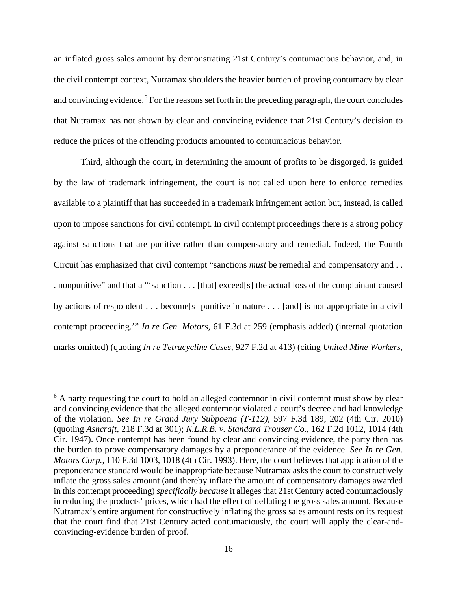an inflated gross sales amount by demonstrating 21st Century's contumacious behavior, and, in the civil contempt context, Nutramax shoulders the heavier burden of proving contumacy by clear and convincing evidence.<sup>[6](#page-15-0)</sup> For the reasons set forth in the preceding paragraph, the court concludes that Nutramax has not shown by clear and convincing evidence that 21st Century's decision to reduce the prices of the offending products amounted to contumacious behavior.

 Third, although the court, in determining the amount of profits to be disgorged, is guided by the law of trademark infringement, the court is not called upon here to enforce remedies available to a plaintiff that has succeeded in a trademark infringement action but, instead, is called upon to impose sanctions for civil contempt. In civil contempt proceedings there is a strong policy against sanctions that are punitive rather than compensatory and remedial. Indeed, the Fourth Circuit has emphasized that civil contempt "sanctions *must* be remedial and compensatory and . . . nonpunitive" and that a "'sanction . . . [that] exceed[s] the actual loss of the complainant caused by actions of respondent . . . become[s] punitive in nature . . . [and] is not appropriate in a civil contempt proceeding.'" *In re Gen. Motors*, 61 F.3d at 259 (emphasis added) (internal quotation marks omitted) (quoting *In re Tetracycline Cases*, 927 F.2d at 413) (citing *United Mine Workers*,

<span id="page-15-0"></span> $6$  A party requesting the court to hold an alleged contemnor in civil contempt must show by clear and convincing evidence that the alleged contemnor violated a court's decree and had knowledge of the violation. *See In re Grand Jury Subpoena (T-112)*, 597 F.3d 189, 202 (4th Cir. 2010) (quoting *Ashcraft*, 218 F.3d at 301); *N.L.R.B. v. Standard Trouser Co.*, 162 F.2d 1012, 1014 (4th Cir. 1947). Once contempt has been found by clear and convincing evidence, the party then has the burden to prove compensatory damages by a preponderance of the evidence. *See In re Gen. Motors Corp.*, 110 F.3d 1003, 1018 (4th Cir. 1993). Here, the court believes that application of the preponderance standard would be inappropriate because Nutramax asks the court to constructively inflate the gross sales amount (and thereby inflate the amount of compensatory damages awarded in this contempt proceeding) *specifically because* it alleges that 21st Century acted contumaciously in reducing the products' prices, which had the effect of deflating the gross sales amount. Because Nutramax's entire argument for constructively inflating the gross sales amount rests on its request that the court find that 21st Century acted contumaciously, the court will apply the clear-andconvincing-evidence burden of proof.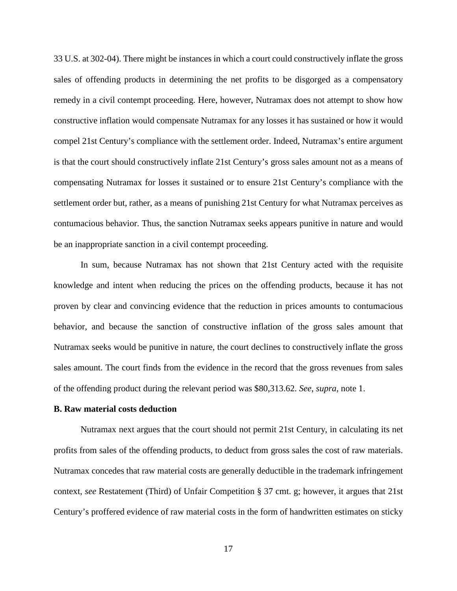33 U.S. at 302-04). There might be instances in which a court could constructively inflate the gross sales of offending products in determining the net profits to be disgorged as a compensatory remedy in a civil contempt proceeding. Here, however, Nutramax does not attempt to show how constructive inflation would compensate Nutramax for any losses it has sustained or how it would compel 21st Century's compliance with the settlement order. Indeed, Nutramax's entire argument is that the court should constructively inflate 21st Century's gross sales amount not as a means of compensating Nutramax for losses it sustained or to ensure 21st Century's compliance with the settlement order but, rather, as a means of punishing 21st Century for what Nutramax perceives as contumacious behavior. Thus, the sanction Nutramax seeks appears punitive in nature and would be an inappropriate sanction in a civil contempt proceeding.

In sum, because Nutramax has not shown that 21st Century acted with the requisite knowledge and intent when reducing the prices on the offending products, because it has not proven by clear and convincing evidence that the reduction in prices amounts to contumacious behavior, and because the sanction of constructive inflation of the gross sales amount that Nutramax seeks would be punitive in nature, the court declines to constructively inflate the gross sales amount. The court finds from the evidence in the record that the gross revenues from sales of the offending product during the relevant period was \$80,313.62. *See*, *supra*, note 1.

#### **B. Raw material costs deduction**

Nutramax next argues that the court should not permit 21st Century, in calculating its net profits from sales of the offending products, to deduct from gross sales the cost of raw materials. Nutramax concedes that raw material costs are generally deductible in the trademark infringement context, *see* Restatement (Third) of Unfair Competition § 37 cmt. g; however, it argues that 21st Century's proffered evidence of raw material costs in the form of handwritten estimates on sticky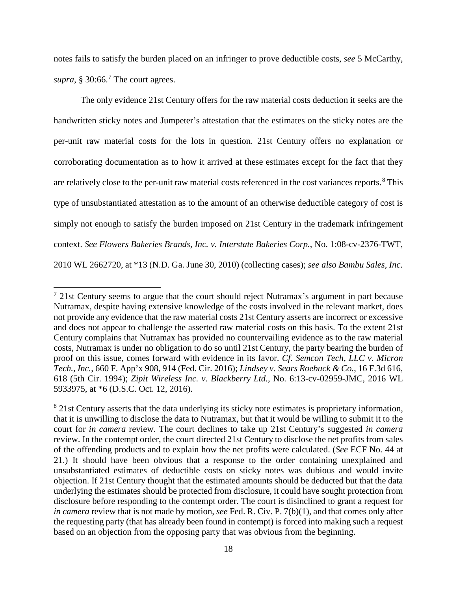notes fails to satisfy the burden placed on an infringer to prove deductible costs, *see* 5 McCarthy, *supra*,  $§$  30:66.<sup>[7](#page-17-0)</sup> The court agrees.

The only evidence 21st Century offers for the raw material costs deduction it seeks are the handwritten sticky notes and Jumpeter's attestation that the estimates on the sticky notes are the per-unit raw material costs for the lots in question. 21st Century offers no explanation or corroborating documentation as to how it arrived at these estimates except for the fact that they are relatively close to the per-unit raw material costs referenced in the cost variances reports.<sup>[8](#page-17-1)</sup> This type of unsubstantiated attestation as to the amount of an otherwise deductible category of cost is simply not enough to satisfy the burden imposed on 21st Century in the trademark infringement context. *See Flowers Bakeries Brands, Inc. v. Interstate Bakeries Corp.*, No. 1:08-cv-2376-TWT, 2010 WL 2662720, at \*13 (N.D. Ga. June 30, 2010) (collecting cases); *see also Bambu Sales, Inc.* 

<span id="page-17-0"></span> $7$  21st Century seems to argue that the court should reject Nutramax's argument in part because Nutramax, despite having extensive knowledge of the costs involved in the relevant market, does not provide any evidence that the raw material costs 21st Century asserts are incorrect or excessive and does not appear to challenge the asserted raw material costs on this basis. To the extent 21st Century complains that Nutramax has provided no countervailing evidence as to the raw material costs, Nutramax is under no obligation to do so until 21st Century, the party bearing the burden of proof on this issue, comes forward with evidence in its favor. *Cf. Semcon Tech, LLC v. Micron Tech., Inc.*, 660 F. App'x 908, 914 (Fed. Cir. 2016); *Lindsey v. Sears Roebuck & Co.*, 16 F.3d 616, 618 (5th Cir. 1994); *Zipit Wireless Inc. v. Blackberry Ltd.*, No. 6:13-cv-02959-JMC, 2016 WL 5933975, at \*6 (D.S.C. Oct. 12, 2016).

<span id="page-17-1"></span><sup>&</sup>lt;sup>8</sup> 21st Century asserts that the data underlying its sticky note estimates is proprietary information, that it is unwilling to disclose the data to Nutramax, but that it would be willing to submit it to the court for *in camera* review. The court declines to take up 21st Century's suggested *in camera* review. In the contempt order, the court directed 21st Century to disclose the net profits from sales of the offending products and to explain how the net profits were calculated. (*See* ECF No. 44 at 21.) It should have been obvious that a response to the order containing unexplained and unsubstantiated estimates of deductible costs on sticky notes was dubious and would invite objection. If 21st Century thought that the estimated amounts should be deducted but that the data underlying the estimates should be protected from disclosure, it could have sought protection from disclosure before responding to the contempt order. The court is disinclined to grant a request for *in camera* review that is not made by motion, *see* Fed. R. Civ. P. 7(b)(1), and that comes only after the requesting party (that has already been found in contempt) is forced into making such a request based on an objection from the opposing party that was obvious from the beginning.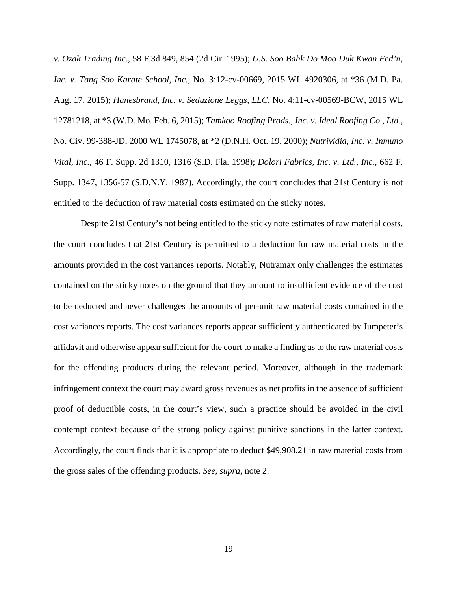*v. Ozak Trading Inc.*, 58 F.3d 849, 854 (2d Cir. 1995); *U.S. Soo Bahk Do Moo Duk Kwan Fed'n, Inc. v. Tang Soo Karate School, Inc.*, No. 3:12-cv-00669, 2015 WL 4920306, at \*36 (M.D. Pa. Aug. 17, 2015); *Hanesbrand, Inc. v. Seduzione Leggs, LLC*, No. 4:11-cv-00569-BCW, 2015 WL 12781218, at \*3 (W.D. Mo. Feb. 6, 2015); *Tamkoo Roofing Prods., Inc. v. Ideal Roofing Co., Ltd.*, No. Civ. 99-388-JD, 2000 WL 1745078, at \*2 (D.N.H. Oct. 19, 2000); *Nutrividia, Inc. v. Inmuno Vital, Inc.*, 46 F. Supp. 2d 1310, 1316 (S.D. Fla. 1998); *Dolori Fabrics, Inc. v. Ltd., Inc.*, 662 F. Supp. 1347, 1356-57 (S.D.N.Y. 1987). Accordingly, the court concludes that 21st Century is not entitled to the deduction of raw material costs estimated on the sticky notes.

Despite 21st Century's not being entitled to the sticky note estimates of raw material costs, the court concludes that 21st Century is permitted to a deduction for raw material costs in the amounts provided in the cost variances reports. Notably, Nutramax only challenges the estimates contained on the sticky notes on the ground that they amount to insufficient evidence of the cost to be deducted and never challenges the amounts of per-unit raw material costs contained in the cost variances reports. The cost variances reports appear sufficiently authenticated by Jumpeter's affidavit and otherwise appear sufficient for the court to make a finding as to the raw material costs for the offending products during the relevant period. Moreover, although in the trademark infringement context the court may award gross revenues as net profits in the absence of sufficient proof of deductible costs, in the court's view, such a practice should be avoided in the civil contempt context because of the strong policy against punitive sanctions in the latter context. Accordingly, the court finds that it is appropriate to deduct \$49,908.21 in raw material costs from the gross sales of the offending products. *See*, *supra*, note 2.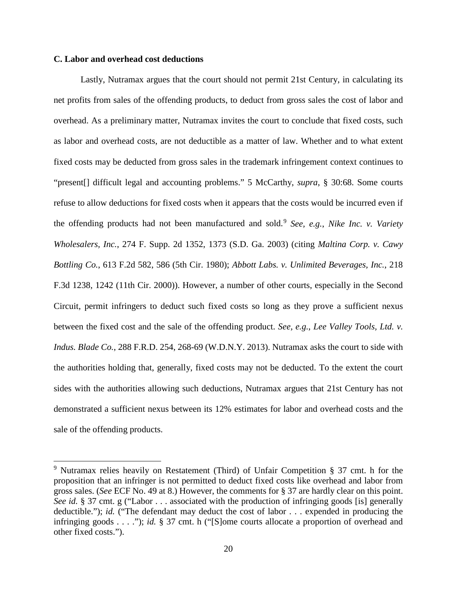### **C. Labor and overhead cost deductions**

 $\overline{a}$ 

Lastly, Nutramax argues that the court should not permit 21st Century, in calculating its net profits from sales of the offending products, to deduct from gross sales the cost of labor and overhead. As a preliminary matter, Nutramax invites the court to conclude that fixed costs, such as labor and overhead costs, are not deductible as a matter of law. Whether and to what extent fixed costs may be deducted from gross sales in the trademark infringement context continues to "present[] difficult legal and accounting problems." 5 McCarthy, *supra*, § 30:68. Some courts refuse to allow deductions for fixed costs when it appears that the costs would be incurred even if the offending products had not been manufactured and sold.[9](#page-19-0) *See, e.g.*, *Nike Inc. v. Variety Wholesalers, Inc.*, 274 F. Supp. 2d 1352, 1373 (S.D. Ga. 2003) (citing *Maltina Corp. v. Cawy Bottling Co.*, 613 F.2d 582, 586 (5th Cir. 1980); *Abbott Labs. v. Unlimited Beverages, Inc.*, 218 F.3d 1238, 1242 (11th Cir. 2000)). However, a number of other courts, especially in the Second Circuit, permit infringers to deduct such fixed costs so long as they prove a sufficient nexus between the fixed cost and the sale of the offending product. *See, e.g.*, *Lee Valley Tools, Ltd. v. Indus. Blade Co.*, 288 F.R.D. 254, 268-69 (W.D.N.Y. 2013). Nutramax asks the court to side with the authorities holding that, generally, fixed costs may not be deducted. To the extent the court sides with the authorities allowing such deductions, Nutramax argues that 21st Century has not demonstrated a sufficient nexus between its 12% estimates for labor and overhead costs and the sale of the offending products.

<span id="page-19-0"></span><sup>9</sup> Nutramax relies heavily on Restatement (Third) of Unfair Competition § 37 cmt. h for the proposition that an infringer is not permitted to deduct fixed costs like overhead and labor from gross sales. (*See* ECF No. 49 at 8.) However, the comments for § 37 are hardly clear on this point. *See id.* § 37 cmt. g ("Labor . . . associated with the production of infringing goods [is] generally deductible."); *id.* ("The defendant may deduct the cost of labor . . . expended in producing the infringing goods . . . ."); *id.* § 37 cmt. h ("[S]ome courts allocate a proportion of overhead and other fixed costs.").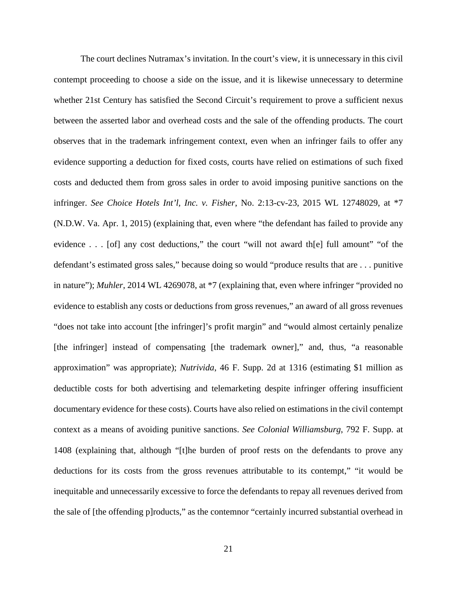The court declines Nutramax's invitation. In the court's view, it is unnecessary in this civil contempt proceeding to choose a side on the issue, and it is likewise unnecessary to determine whether 21st Century has satisfied the Second Circuit's requirement to prove a sufficient nexus between the asserted labor and overhead costs and the sale of the offending products. The court observes that in the trademark infringement context, even when an infringer fails to offer any evidence supporting a deduction for fixed costs, courts have relied on estimations of such fixed costs and deducted them from gross sales in order to avoid imposing punitive sanctions on the infringer. *See Choice Hotels Int'l, Inc. v. Fisher*, No. 2:13-cv-23, 2015 WL 12748029, at \*7 (N.D.W. Va. Apr. 1, 2015) (explaining that, even where "the defendant has failed to provide any evidence . . . [of] any cost deductions," the court "will not award th[e] full amount" "of the defendant's estimated gross sales," because doing so would "produce results that are . . . punitive in nature"); *Muhler*, 2014 WL 4269078, at \*7 (explaining that, even where infringer "provided no evidence to establish any costs or deductions from gross revenues," an award of all gross revenues "does not take into account [the infringer]'s profit margin" and "would almost certainly penalize [the infringer] instead of compensating [the trademark owner]," and, thus, "a reasonable approximation" was appropriate); *Nutrivida*, 46 F. Supp. 2d at 1316 (estimating \$1 million as deductible costs for both advertising and telemarketing despite infringer offering insufficient documentary evidence for these costs). Courts have also relied on estimations in the civil contempt context as a means of avoiding punitive sanctions. *See Colonial Williamsburg*, 792 F. Supp. at 1408 (explaining that, although "[t]he burden of proof rests on the defendants to prove any deductions for its costs from the gross revenues attributable to its contempt," "it would be inequitable and unnecessarily excessive to force the defendants to repay all revenues derived from the sale of [the offending p]roducts," as the contemnor "certainly incurred substantial overhead in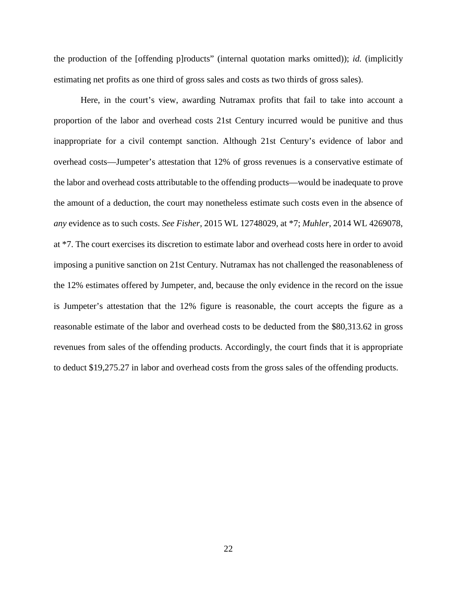the production of the [offending p]roducts" (internal quotation marks omitted)); *id.* (implicitly estimating net profits as one third of gross sales and costs as two thirds of gross sales).

Here, in the court's view, awarding Nutramax profits that fail to take into account a proportion of the labor and overhead costs 21st Century incurred would be punitive and thus inappropriate for a civil contempt sanction. Although 21st Century's evidence of labor and overhead costs—Jumpeter's attestation that 12% of gross revenues is a conservative estimate of the labor and overhead costs attributable to the offending products—would be inadequate to prove the amount of a deduction, the court may nonetheless estimate such costs even in the absence of *any* evidence as to such costs. *See Fisher*, 2015 WL 12748029, at \*7; *Muhler*, 2014 WL 4269078, at \*7. The court exercises its discretion to estimate labor and overhead costs here in order to avoid imposing a punitive sanction on 21st Century. Nutramax has not challenged the reasonableness of the 12% estimates offered by Jumpeter, and, because the only evidence in the record on the issue is Jumpeter's attestation that the 12% figure is reasonable, the court accepts the figure as a reasonable estimate of the labor and overhead costs to be deducted from the \$80,313.62 in gross revenues from sales of the offending products. Accordingly, the court finds that it is appropriate to deduct \$19,275.27 in labor and overhead costs from the gross sales of the offending products.